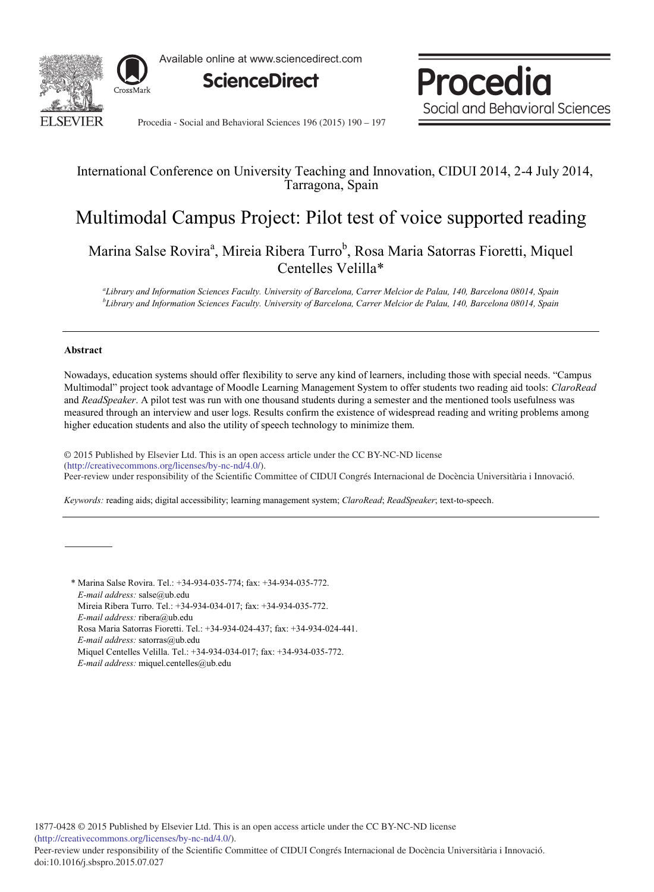

Available online at www.sciencedirect.com





Procedia - Social and Behavioral Sciences 196 (2015) 190 - 197

# International Conference on University Teaching and Innovation, CIDUI 2014, 2-4 July 2014, Tarragona, Spain

# Multimodal Campus Project: Pilot test of voice supported reading

Marina Salse Rovira<sup>a</sup>, Mireia Ribera Turro<sup>b</sup>, Rosa Maria Satorras Fioretti, Miquel Centelles Velilla\*

*a Library and Information Sciences Faculty. University of Barcelona, Carrer Melcior de Palau, 140, Barcelona 08014, Spain b Library and Information Sciences Faculty. University of Barcelona, Carrer Melcior de Palau, 140, Barcelona 08014, Spain*

### **Abstract**

Nowadays, education systems should offer flexibility to serve any kind of learners, including those with special needs. "Campus Multimodal" project took advantage of Moodle Learning Management System to offer students two reading aid tools: *ClaroRead* and *ReadSpeaker*. A pilot test was run with one thousand students during a semester and the mentioned tools usefulness was measured through an interview and user logs. Results confirm the existence of widespread reading and writing problems among higher education students and also the utility of speech technology to minimize them.

© 2015 Published by Elsevier Ltd. This is an open access article under the CC BY-NC-ND license (http://creativecommons.org/licenses/by-nc-nd/4.0/). Peer-review under responsibility of the Scientific Committee of CIDUI Congrés Internacional de Docència Universitària i Innovació.

*Keywords:* reading aids; digital accessibility; learning management system; *ClaroRead*; *ReadSpeaker*; text-to-speech.

\* Marina Salse Rovira. Tel.: +34-934-035-774; fax: +34-934-035-772. *E-mail address:* salse@ub.edu Mireia Ribera Turro. Tel.: +34-934-034-017; fax: +34-934-035-772. *E-mail address:* ribera@ub.edu Rosa Maria Satorras Fioretti. Tel.: +34-934-024-437; fax: +34-934-024-441. *E-mail address:* satorras@ub.edu Miquel Centelles Velilla. Tel.: +34-934-034-017; fax: +34-934-035-772. *E-mail address:* miquel.centelles@ub.edu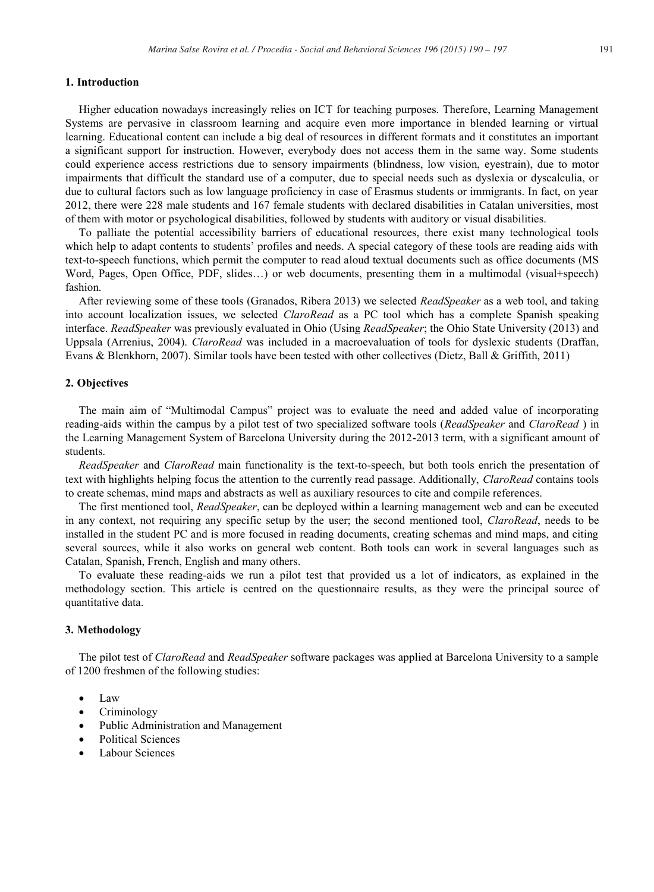# **1. Introduction**

Higher education nowadays increasingly relies on ICT for teaching purposes. Therefore, Learning Management Systems are pervasive in classroom learning and acquire even more importance in blended learning or virtual learning. Educational content can include a big deal of resources in different formats and it constitutes an important a significant support for instruction. However, everybody does not access them in the same way. Some students could experience access restrictions due to sensory impairments (blindness, low vision, eyestrain), due to motor impairments that difficult the standard use of a computer, due to special needs such as dyslexia or dyscalculia, or due to cultural factors such as low language proficiency in case of Erasmus students or immigrants. In fact, on year 2012, there were 228 male students and 167 female students with declared disabilities in Catalan universities, most of them with motor or psychological disabilities, followed by students with auditory or visual disabilities.

To palliate the potential accessibility barriers of educational resources, there exist many technological tools which help to adapt contents to students' profiles and needs. A special category of these tools are reading aids with text-to-speech functions, which permit the computer to read aloud textual documents such as office documents (MS Word, Pages, Open Office, PDF, slides...) or web documents, presenting them in a multimodal (visual+speech) fashion.

After reviewing some of these tools (Granados, Ribera 2013) we selected *ReadSpeaker* as a web tool, and taking into account localization issues, we selected *ClaroRead* as a PC tool which has a complete Spanish speaking interface. *ReadSpeaker* was previously evaluated in Ohio (Using *ReadSpeaker*; the Ohio State University (2013) and Uppsala (Arrenius, 2004). *ClaroRead* was included in a macroevaluation of tools for dyslexic students (Draffan, Evans & Blenkhorn, 2007). Similar tools have been tested with other collectives (Dietz, Ball & Griffith, 2011)

#### **2. Objectives**

The main aim of "Multimodal Campus" project was to evaluate the need and added value of incorporating reading-aids within the campus by a pilot test of two specialized software tools (*ReadSpeaker* and *ClaroRead* ) in the Learning Management System of Barcelona University during the 2012-2013 term, with a significant amount of students.

*ReadSpeaker* and *ClaroRead* main functionality is the text-to-speech, but both tools enrich the presentation of text with highlights helping focus the attention to the currently read passage. Additionally, *ClaroRead* contains tools to create schemas, mind maps and abstracts as well as auxiliary resources to cite and compile references.

The first mentioned tool, *ReadSpeaker*, can be deployed within a learning management web and can be executed in any context, not requiring any specific setup by the user; the second mentioned tool, *ClaroRead*, needs to be installed in the student PC and is more focused in reading documents, creating schemas and mind maps, and citing several sources, while it also works on general web content. Both tools can work in several languages such as Catalan, Spanish, French, English and many others.

To evaluate these reading-aids we run a pilot test that provided us a lot of indicators, as explained in the methodology section. This article is centred on the questionnaire results, as they were the principal source of quantitative data.

#### **3. Methodology**

The pilot test of *ClaroRead* and *ReadSpeaker* software packages was applied at Barcelona University to a sample of 1200 freshmen of the following studies:

- $\bullet$  Law
- **Criminology**
- Public Administration and Management
- Political Sciences
- Labour Sciences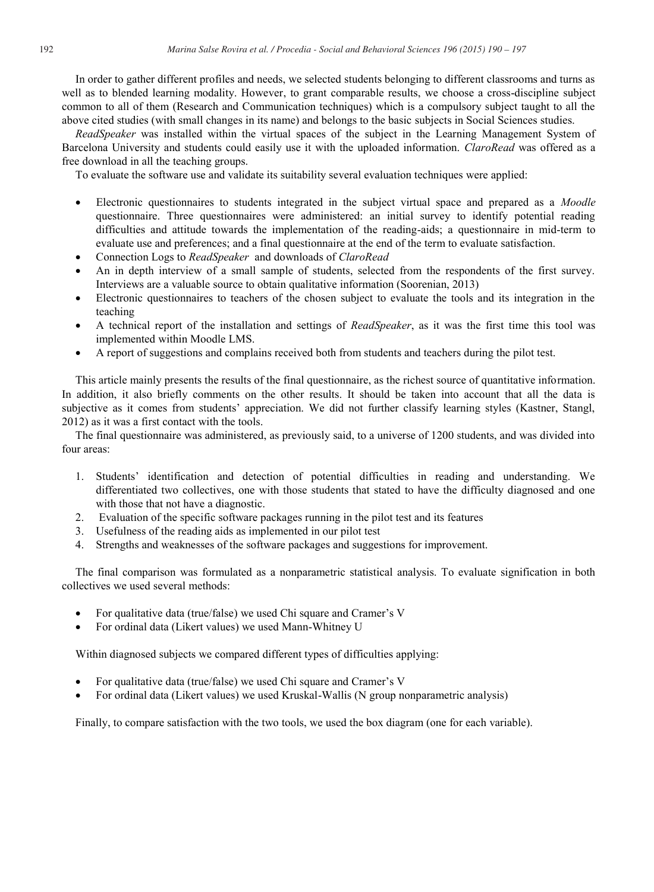In order to gather different profiles and needs, we selected students belonging to different classrooms and turns as well as to blended learning modality. However, to grant comparable results, we choose a cross-discipline subject common to all of them (Research and Communication techniques) which is a compulsory subject taught to all the above cited studies (with small changes in its name) and belongs to the basic subjects in Social Sciences studies.

*ReadSpeaker* was installed within the virtual spaces of the subject in the Learning Management System of Barcelona University and students could easily use it with the uploaded information. *ClaroRead* was offered as a free download in all the teaching groups.

To evaluate the software use and validate its suitability several evaluation techniques were applied:

- x Electronic questionnaires to students integrated in the subject virtual space and prepared as a *Moodle* questionnaire. Three questionnaires were administered: an initial survey to identify potential reading difficulties and attitude towards the implementation of the reading-aids; a questionnaire in mid-term to evaluate use and preferences; and a final questionnaire at the end of the term to evaluate satisfaction.
- x Connection Logs to *ReadSpeaker* and downloads of *ClaroRead*
- An in depth interview of a small sample of students, selected from the respondents of the first survey. Interviews are a valuable source to obtain qualitative information (Soorenian, 2013)
- Electronic questionnaires to teachers of the chosen subject to evaluate the tools and its integration in the teaching
- x A technical report of the installation and settings of *ReadSpeaker*, as it was the first time this tool was implemented within Moodle LMS.
- x A report of suggestions and complains received both from students and teachers during the pilot test.

This article mainly presents the results of the final questionnaire, as the richest source of quantitative information. In addition, it also briefly comments on the other results. It should be taken into account that all the data is subjective as it comes from students' appreciation. We did not further classify learning styles (Kastner, Stangl, 2012) as it was a first contact with the tools.

The final questionnaire was administered, as previously said, to a universe of 1200 students, and was divided into four areas:

- 1. Students' identification and detection of potential difficulties in reading and understanding. We differentiated two collectives, one with those students that stated to have the difficulty diagnosed and one with those that not have a diagnostic.
- 2. Evaluation of the specific software packages running in the pilot test and its features
- 3. Usefulness of the reading aids as implemented in our pilot test
- 4. Strengths and weaknesses of the software packages and suggestions for improvement.

The final comparison was formulated as a nonparametric statistical analysis. To evaluate signification in both collectives we used several methods:

- x For qualitative data (true/false) we used Chi square and Cramer's V
- For ordinal data (Likert values) we used Mann-Whitney U

Within diagnosed subjects we compared different types of difficulties applying:

- For qualitative data (true/false) we used Chi square and Cramer's V
- For ordinal data (Likert values) we used Kruskal-Wallis (N group nonparametric analysis)

Finally, to compare satisfaction with the two tools, we used the box diagram (one for each variable).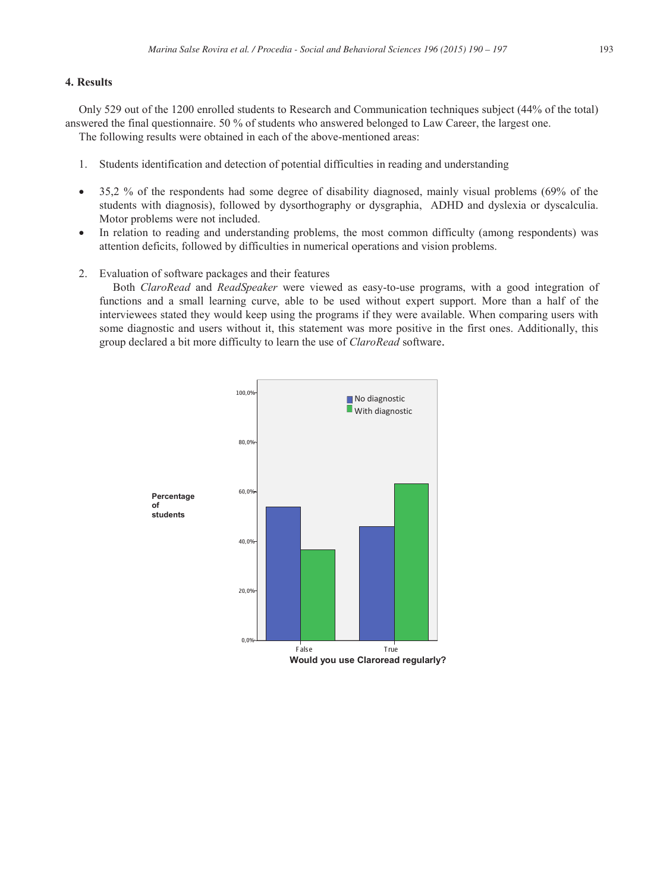# **4. Results**

Only 529 out of the 1200 enrolled students to Research and Communication techniques subject (44% of the total) answered the final questionnaire. 50 % of students who answered belonged to Law Career, the largest one. The following results were obtained in each of the above-mentioned areas:

1. Students identification and detection of potential difficulties in reading and understanding

- $\bullet$  35,2 % of the respondents had some degree of disability diagnosed, mainly visual problems (69% of the students with diagnosis), followed by dysorthography or dysgraphia, ADHD and dyslexia or dyscalculia. Motor problems were not included.
- In relation to reading and understanding problems, the most common difficulty (among respondents) was attention deficits, followed by difficulties in numerical operations and vision problems.
- 2. Evaluation of software packages and their features

Both *ClaroRead* and *ReadSpeaker* were viewed as easy-to-use programs, with a good integration of functions and a small learning curve, able to be used without expert support. More than a half of the interviewees stated they would keep using the programs if they were available. When comparing users with some diagnostic and users without it, this statement was more positive in the first ones. Additionally, this group declared a bit more difficulty to learn the use of *ClaroRead* software.

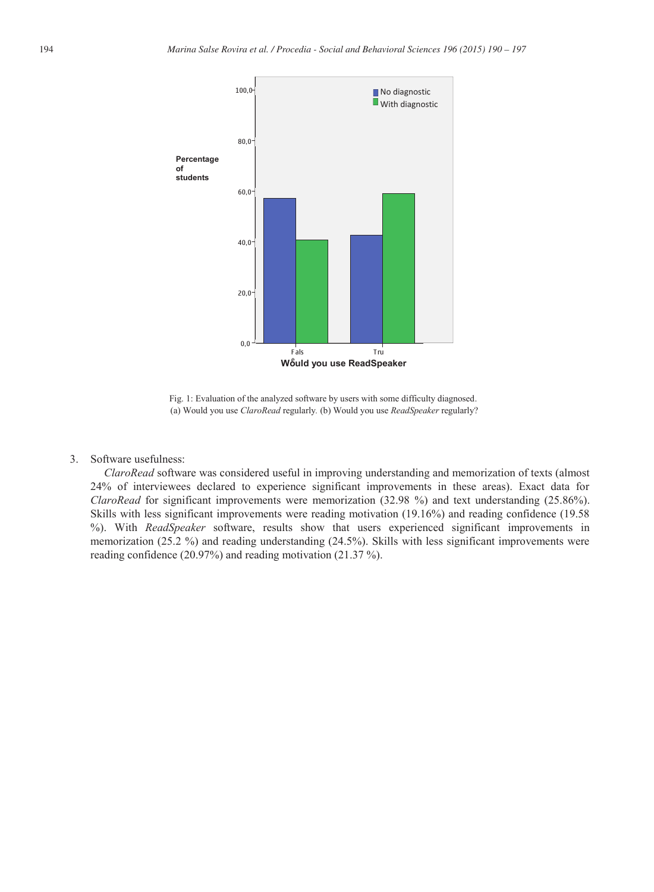

Fig. 1: Evaluation of the analyzed software by users with some difficulty diagnosed. (a) Would you use *ClaroRead* regularly*.* (b) Would you use *ReadSpeaker* regularly?

3. Software usefulness:

*ClaroRead* software was considered useful in improving understanding and memorization of texts (almost 24% of interviewees declared to experience significant improvements in these areas). Exact data for *ClaroRead* for significant improvements were memorization (32.98 %) and text understanding (25.86%). Skills with less significant improvements were reading motivation (19.16%) and reading confidence (19.58 %). With *ReadSpeaker* software, results show that users experienced significant improvements in memorization (25.2 %) and reading understanding (24.5%). Skills with less significant improvements were reading confidence (20.97%) and reading motivation (21.37 %).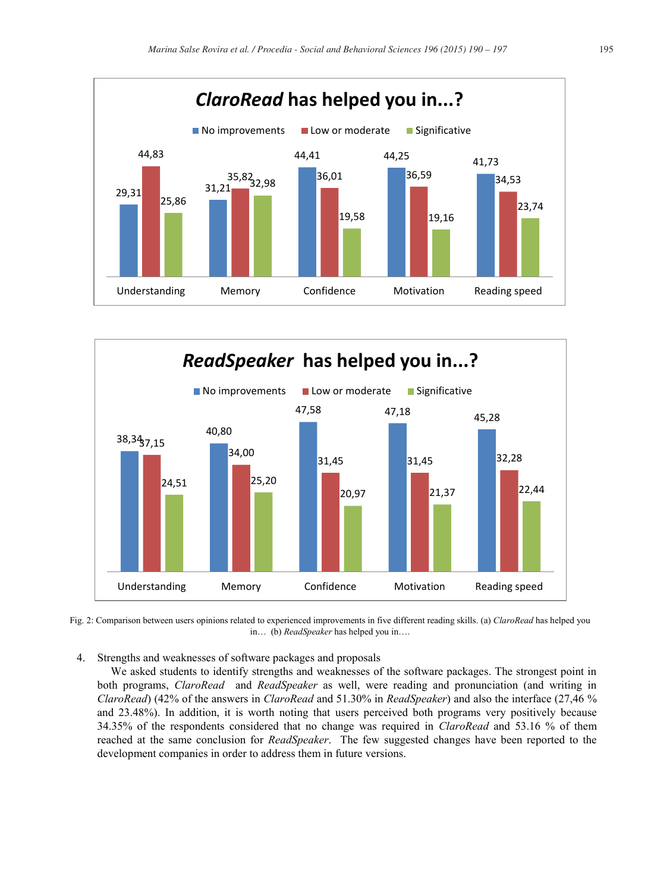



Fig. 2: Comparison between users opinions related to experienced improvements in five different reading skills. (a) *ClaroRead* has helped you in… (b) *ReadSpeaker* has helped you in….

4. Strengths and weaknesses of software packages and proposals

We asked students to identify strengths and weaknesses of the software packages. The strongest point in both programs, *ClaroRead* and *ReadSpeaker* as well, were reading and pronunciation (and writing in *ClaroRead*) (42% of the answers in *ClaroRead* and 51.30% in *ReadSpeaker*) and also the interface (27,46 % and 23.48%). In addition, it is worth noting that users perceived both programs very positively because 34.35% of the respondents considered that no change was required in *ClaroRead* and 53.16 % of them reached at the same conclusion for *ReadSpeaker*. The few suggested changes have been reported to the development companies in order to address them in future versions.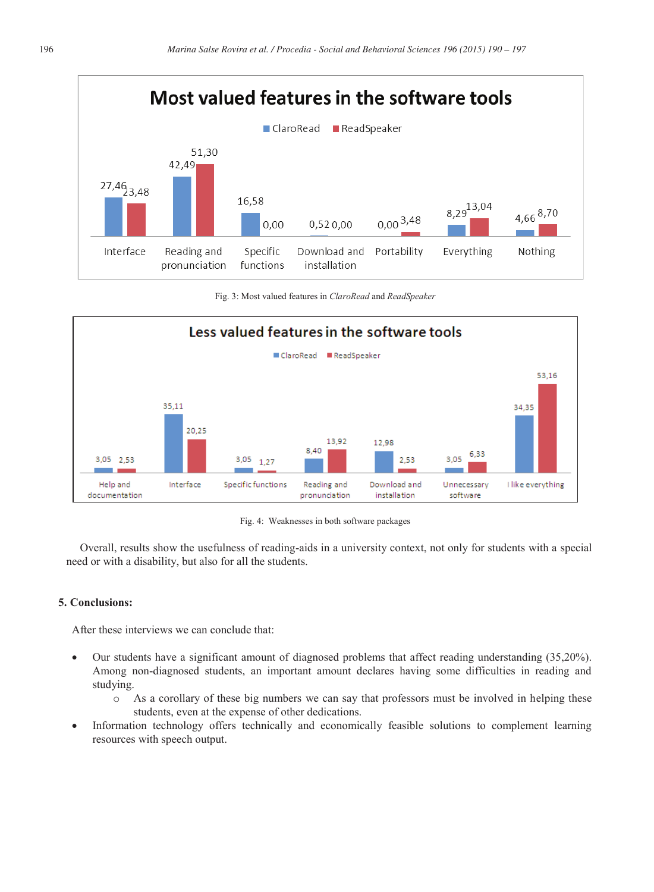

Fig. 3: Most valued features in *ClaroRead* and *ReadSpeaker*



Fig. 4: Weaknesses in both software packages

Overall, results show the usefulness of reading-aids in a university context, not only for students with a special need or with a disability, but also for all the students.

# **5. Conclusions:**

After these interviews we can conclude that:

- x Our students have a significant amount of diagnosed problems that affect reading understanding (35,20%). Among non-diagnosed students, an important amount declares having some difficulties in reading and studying.
	- o As a corollary of these big numbers we can say that professors must be involved in helping these students, even at the expense of other dedications.
- Information technology offers technically and economically feasible solutions to complement learning resources with speech output.